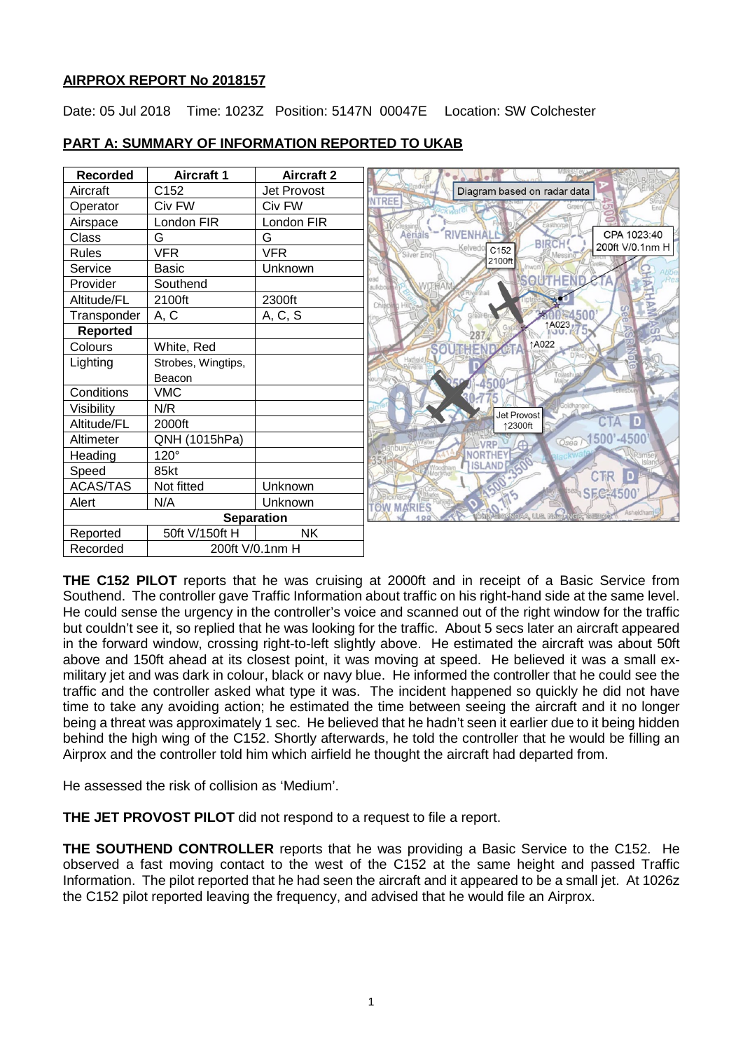## **AIRPROX REPORT No 2018157**

Date: 05 Jul 2018 Time: 1023Z Position: 5147N 00047E Location: SW Colchester



# **PART A: SUMMARY OF INFORMATION REPORTED TO UKAB**

**THE C152 PILOT** reports that he was cruising at 2000ft and in receipt of a Basic Service from Southend. The controller gave Traffic Information about traffic on his right-hand side at the same level. He could sense the urgency in the controller's voice and scanned out of the right window for the traffic but couldn't see it, so replied that he was looking for the traffic. About 5 secs later an aircraft appeared in the forward window, crossing right-to-left slightly above. He estimated the aircraft was about 50ft above and 150ft ahead at its closest point, it was moving at speed. He believed it was a small exmilitary jet and was dark in colour, black or navy blue. He informed the controller that he could see the traffic and the controller asked what type it was. The incident happened so quickly he did not have time to take any avoiding action; he estimated the time between seeing the aircraft and it no longer being a threat was approximately 1 sec. He believed that he hadn't seen it earlier due to it being hidden behind the high wing of the C152. Shortly afterwards, he told the controller that he would be filling an Airprox and the controller told him which airfield he thought the aircraft had departed from.

He assessed the risk of collision as 'Medium'.

**THE JET PROVOST PILOT** did not respond to a request to file a report.

**THE SOUTHEND CONTROLLER** reports that he was providing a Basic Service to the C152. He observed a fast moving contact to the west of the C152 at the same height and passed Traffic Information. The pilot reported that he had seen the aircraft and it appeared to be a small jet. At 1026z the C152 pilot reported leaving the frequency, and advised that he would file an Airprox.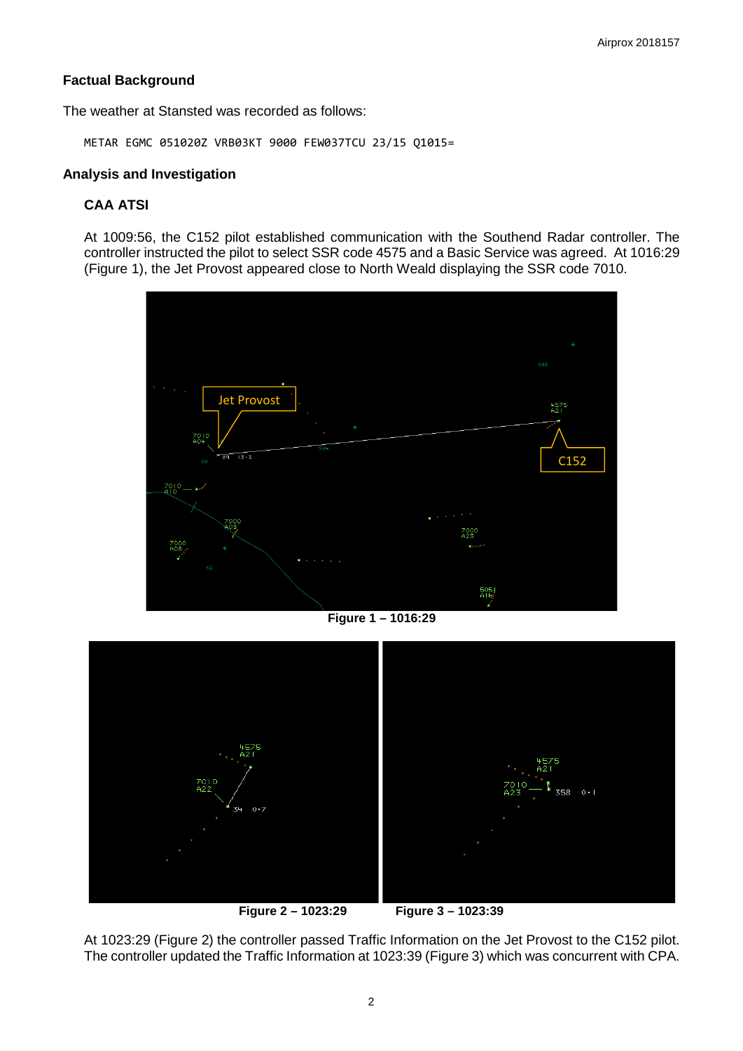## **Factual Background**

The weather at Stansted was recorded as follows:

METAR EGMC 051020Z VRB03KT 9000 FEW037TCU 23/15 Q1015=

## **Analysis and Investigation**

# **CAA ATSI**

At 1009:56, the C152 pilot established communication with the Southend Radar controller. The controller instructed the pilot to select SSR code 4575 and a Basic Service was agreed. At 1016:29 (Figure 1), the Jet Provost appeared close to North Weald displaying the SSR code 7010.



**Figure 1 – 1016:29**



**Figure 2 – 1023:29 Figure 3 – 1023:39**

At 1023:29 (Figure 2) the controller passed Traffic Information on the Jet Provost to the C152 pilot. The controller updated the Traffic Information at 1023:39 (Figure 3) which was concurrent with CPA.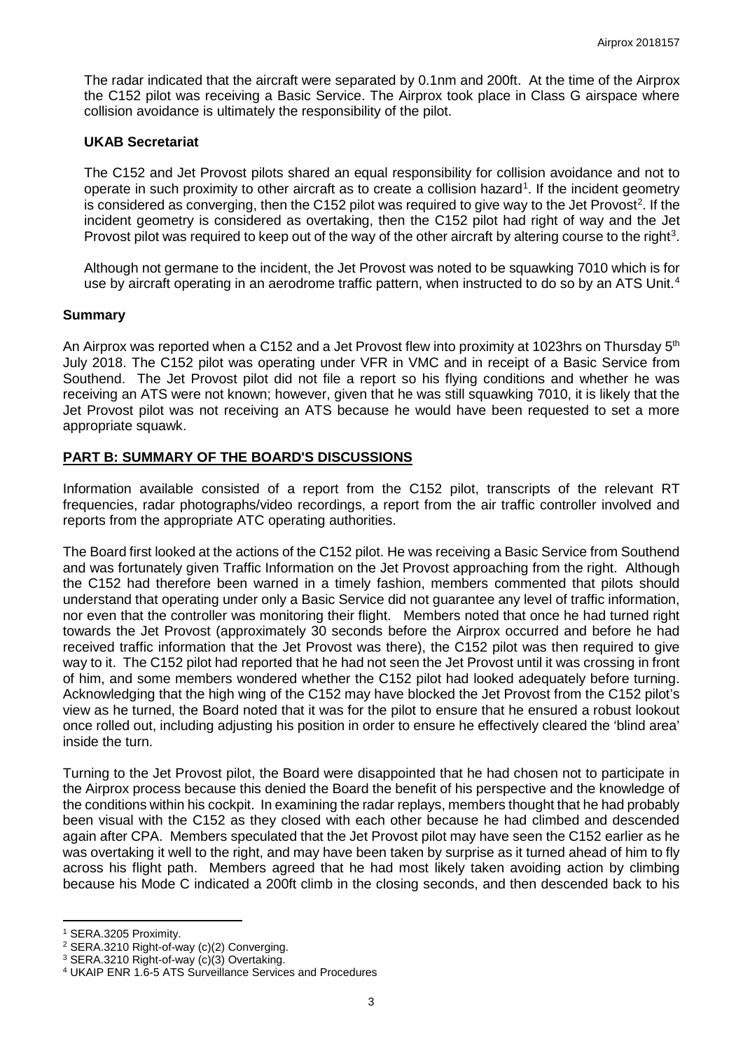The radar indicated that the aircraft were separated by 0.1nm and 200ft. At the time of the Airprox the C152 pilot was receiving a Basic Service. The Airprox took place in Class G airspace where collision avoidance is ultimately the responsibility of the pilot.

### **UKAB Secretariat**

The C152 and Jet Provost pilots shared an equal responsibility for collision avoidance and not to operate in such proximity to other aircraft as to create a collision hazard<sup>[1](#page-2-0)</sup>. If the incident geometry is considered as converging, then the C15[2](#page-2-1) pilot was required to give way to the Jet Provost<sup>2</sup>. If the incident geometry is considered as overtaking, then the C152 pilot had right of way and the Jet Provost pilot was required to keep out of the way of the other aircraft by altering course to the right<sup>[3](#page-2-2)</sup>.

Although not germane to the incident, the Jet Provost was noted to be squawking 7010 which is for use by aircraft operating in an aerodrome traffic pattern, when instructed to do so by an ATS Unit.<sup>[4](#page-2-3)</sup>

### **Summary**

An Airprox was reported when a C152 and a Jet Provost flew into proximity at 1023hrs on Thursday 5<sup>th</sup> July 2018. The C152 pilot was operating under VFR in VMC and in receipt of a Basic Service from Southend. The Jet Provost pilot did not file a report so his flying conditions and whether he was receiving an ATS were not known; however, given that he was still squawking 7010, it is likely that the Jet Provost pilot was not receiving an ATS because he would have been requested to set a more appropriate squawk.

## **PART B: SUMMARY OF THE BOARD'S DISCUSSIONS**

Information available consisted of a report from the C152 pilot, transcripts of the relevant RT frequencies, radar photographs/video recordings, a report from the air traffic controller involved and reports from the appropriate ATC operating authorities.

The Board first looked at the actions of the C152 pilot. He was receiving a Basic Service from Southend and was fortunately given Traffic Information on the Jet Provost approaching from the right. Although the C152 had therefore been warned in a timely fashion, members commented that pilots should understand that operating under only a Basic Service did not guarantee any level of traffic information, nor even that the controller was monitoring their flight. Members noted that once he had turned right towards the Jet Provost (approximately 30 seconds before the Airprox occurred and before he had received traffic information that the Jet Provost was there), the C152 pilot was then required to give way to it. The C152 pilot had reported that he had not seen the Jet Provost until it was crossing in front of him, and some members wondered whether the C152 pilot had looked adequately before turning. Acknowledging that the high wing of the C152 may have blocked the Jet Provost from the C152 pilot's view as he turned, the Board noted that it was for the pilot to ensure that he ensured a robust lookout once rolled out, including adjusting his position in order to ensure he effectively cleared the 'blind area' inside the turn.

Turning to the Jet Provost pilot, the Board were disappointed that he had chosen not to participate in the Airprox process because this denied the Board the benefit of his perspective and the knowledge of the conditions within his cockpit. In examining the radar replays, members thought that he had probably been visual with the C152 as they closed with each other because he had climbed and descended again after CPA. Members speculated that the Jet Provost pilot may have seen the C152 earlier as he was overtaking it well to the right, and may have been taken by surprise as it turned ahead of him to fly across his flight path. Members agreed that he had most likely taken avoiding action by climbing because his Mode C indicated a 200ft climb in the closing seconds, and then descended back to his

 $\overline{a}$ 

<sup>1</sup> SERA.3205 Proximity.

<span id="page-2-1"></span><span id="page-2-0"></span><sup>2</sup> SERA.3210 Right-of-way (c)(2) Converging.

<span id="page-2-2"></span><sup>3</sup> SERA.3210 Right-of-way (c)(3) Overtaking.

<span id="page-2-3"></span><sup>4</sup> UKAIP ENR 1.6-5 ATS Surveillance Services and Procedures